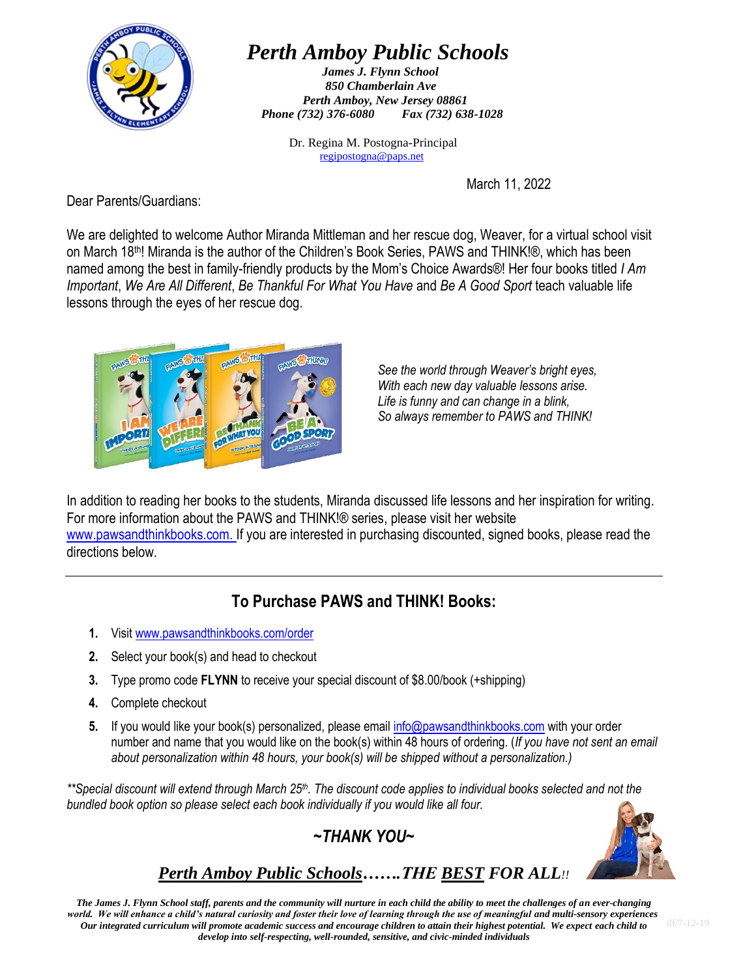

## *Perth Amboy Public Schools*

*James J. Flynn School 850 Chamberlain Ave Perth Amboy, New Jersey 08861 Phone (732) 376-6080 Fax (732) 638-1028*

> Dr. Regina M. Postogna-Principal [regipostogna@paps.net](mailto:regipostogna@paps.net)

> > March 11, 2022

Dear Parents/Guardians:

We are delighted to welcome Author Miranda Mittleman and her rescue dog, Weaver, for a virtual school visit on March 18th! Miranda is the author of the Children's Book Series, PAWS and THINK!®, which has been named among the best in family-friendly products by the Mom's Choice Awards®! Her four books titled *I Am Important*, *We Are All Different*, *Be Thankful For What You Have* and *Be A Good Sport* teach valuable life lessons through the eyes of her rescue dog.



*See the world through Weaver's bright eyes, With each new day valuable lessons arise. Life is funny and can change in a blink, So always remember to PAWS and THINK!*

In addition to reading her books to the students, Miranda discussed life lessons and her inspiration for writing. For more information about the PAWS and THINK!® series, please visit her website [www.pawsandthinkbooks.com.](http://www.pawsandthinkbooks.com/) If you are interested in purchasing discounted, signed books, please read the directions below.

## **To Purchase PAWS and THINK! Books:**

- **1.** Visi[t www.pawsandthinkbooks.com/order](http://www.pawsandthinkbooks.com/order)
- **2.** Select your book(s) and head to checkout
- **3.** Type promo code **FLYNN** to receive your special discount of \$8.00/book (+shipping)
- **4.** Complete checkout
- **5.** If you would like your book(s) personalized, please emai[l info@pawsandthinkbooks.com](mailto:info@pawsandthinkbooks.com) with your order number and name that you would like on the book(s) within 48 hours of ordering. (*If you have not sent an email about personalization within 48 hours, your book(s) will be shipped without a personalization.)*

*\*\*Special discount will extend through March 25th. The discount code applies to individual books selected and not the bundled book option so please select each book individually if you would like all four.*

*~THANK YOU~*



### *Perth Amboy Public Schools…….THE BEST FOR ALL!!*

*The James J. Flynn School staff, parents and the community will nurture in each child the ability to meet the challenges of an ever-changing world. We will enhance a child's natural curiosity and foster their love of learning through the use of meaningful and multi-sensory experiences. Our integrated curriculum will promote academic success and encourage children to attain their highest potential. We expect each child to develop into self-respecting, well-rounded, sensitive, and civic-minded individuals*